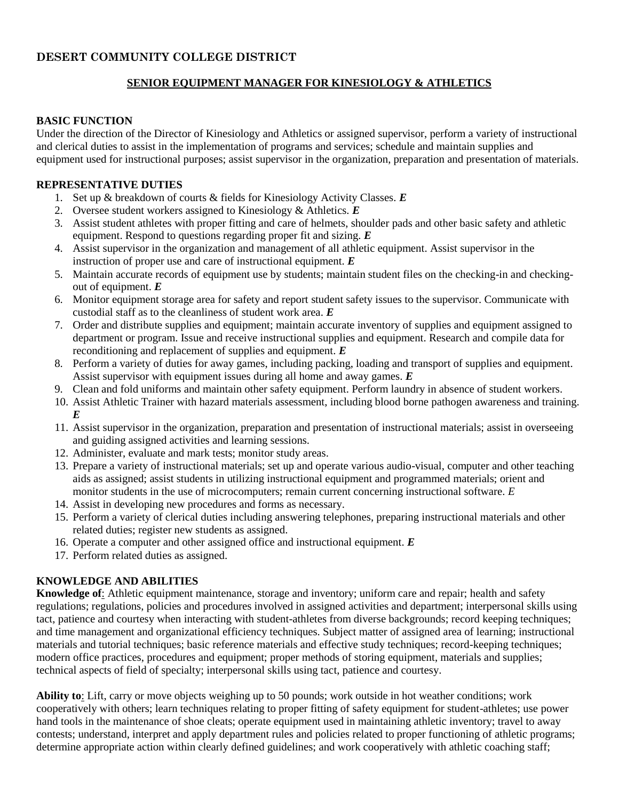# **DESERT COMMUNITY COLLEGE DISTRICT**

# **SENIOR EQUIPMENT MANAGER FOR KINESIOLOGY & ATHLETICS**

#### **BASIC FUNCTION**

Under the direction of the Director of Kinesiology and Athletics or assigned supervisor, perform a variety of instructional and clerical duties to assist in the implementation of programs and services; schedule and maintain supplies and equipment used for instructional purposes; assist supervisor in the organization, preparation and presentation of materials.

#### **REPRESENTATIVE DUTIES**

- 1. Set up & breakdown of courts & fields for Kinesiology Activity Classes. *E*
- 2. Oversee student workers assigned to Kinesiology & Athletics. *E*
- 3. Assist student athletes with proper fitting and care of helmets, shoulder pads and other basic safety and athletic equipment. Respond to questions regarding proper fit and sizing. *E*
- 4. Assist supervisor in the organization and management of all athletic equipment. Assist supervisor in the instruction of proper use and care of instructional equipment. *E*
- 5. Maintain accurate records of equipment use by students; maintain student files on the checking-in and checkingout of equipment. *E*
- 6. Monitor equipment storage area for safety and report student safety issues to the supervisor. Communicate with custodial staff as to the cleanliness of student work area. *E*
- 7. Order and distribute supplies and equipment; maintain accurate inventory of supplies and equipment assigned to department or program. Issue and receive instructional supplies and equipment. Research and compile data for reconditioning and replacement of supplies and equipment. *E*
- 8. Perform a variety of duties for away games, including packing, loading and transport of supplies and equipment. Assist supervisor with equipment issues during all home and away games. *E*
- 9. Clean and fold uniforms and maintain other safety equipment. Perform laundry in absence of student workers.
- 10. Assist Athletic Trainer with hazard materials assessment, including blood borne pathogen awareness and training. *E*
- 11. Assist supervisor in the organization, preparation and presentation of instructional materials; assist in overseeing and guiding assigned activities and learning sessions.
- 12. Administer, evaluate and mark tests; monitor study areas.
- 13. Prepare a variety of instructional materials; set up and operate various audio-visual, computer and other teaching aids as assigned; assist students in utilizing instructional equipment and programmed materials; orient and monitor students in the use of microcomputers; remain current concerning instructional software. *E*
- 14. Assist in developing new procedures and forms as necessary.
- 15. Perform a variety of clerical duties including answering telephones, preparing instructional materials and other related duties; register new students as assigned.
- 16. Operate a computer and other assigned office and instructional equipment. *E*
- 17. Perform related duties as assigned.

# **KNOWLEDGE AND ABILITIES**

**Knowledge of**: Athletic equipment maintenance, storage and inventory; uniform care and repair; health and safety regulations; regulations, policies and procedures involved in assigned activities and department; interpersonal skills using tact, patience and courtesy when interacting with student-athletes from diverse backgrounds; record keeping techniques; and time management and organizational efficiency techniques. Subject matter of assigned area of learning; instructional materials and tutorial techniques; basic reference materials and effective study techniques; record-keeping techniques; modern office practices, procedures and equipment; proper methods of storing equipment, materials and supplies; technical aspects of field of specialty; interpersonal skills using tact, patience and courtesy.

**Ability to**: Lift, carry or move objects weighing up to 50 pounds; work outside in hot weather conditions; work cooperatively with others; learn techniques relating to proper fitting of safety equipment for student-athletes; use power hand tools in the maintenance of shoe cleats; operate equipment used in maintaining athletic inventory; travel to away contests; understand, interpret and apply department rules and policies related to proper functioning of athletic programs; determine appropriate action within clearly defined guidelines; and work cooperatively with athletic coaching staff;